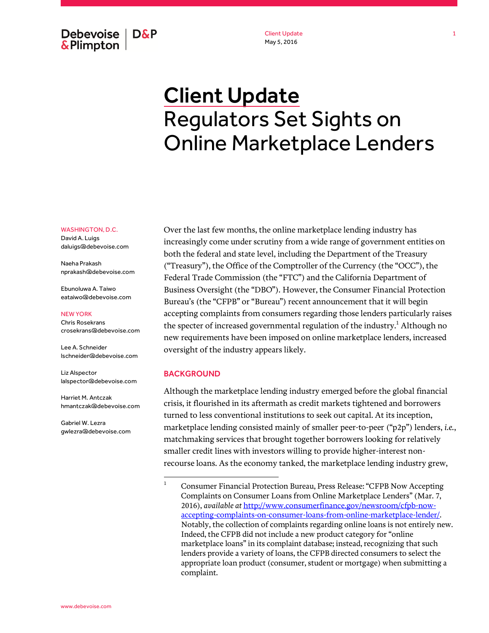**Debevoise D&P &Plimpton** 

Client Update May 5, 2016

# Client Update Regulators Set Sights on Online Marketplace Lenders

#### WASHINGTON, D.C.

David A. Luigs daluigs@debevoise.com

Naeha Prakash nprakash@debevoise.com

Ebunoluwa A. Taiwo eataiwo@debevoise.com

#### NEW YORK

Chris Rosekrans crosekrans@debevoise.com

Lee A. Schneider lschneider@debevoise.com

Liz Alspector lalspector@debevoise.com

Harriet M. Antczak hmantczak@debevoise.com

Gabriel W. Lezra gwlezra@debevoise.com Over the last few months, the online marketplace lending industry has increasingly come under scrutiny from a wide range of government entities on both the federal and state level, including the Department of the Treasury ("Treasury"), the Office of the Comptroller of the Currency (the "OCC"), the Federal Trade Commission (the "FTC") and the California Department of Business Oversight (the "DBO"). However, the Consumer Financial Protection Bureau's (the "CFPB" or "Bureau") recent announcement that it will begin accepting complaints from consumers regarding those lenders particularly raises the specter of increased governmental regulation of the industry. $^1$  Although no new requirements have been imposed on online marketplace lenders, increased oversight of the industry appears likely.

#### BACKGROUND

Although the marketplace lending industry emerged before the global financial crisis, it flourished in its aftermath as credit markets tightened and borrowers turned to less conventional institutions to seek out capital. At its inception, marketplace lending consisted mainly of smaller peer-to-peer ("p2p") lenders, *i.e.*, matchmaking services that brought together borrowers looking for relatively smaller credit lines with investors willing to provide higher-interest nonrecourse loans. As the economy tanked, the marketplace lending industry grew,

 $\frac{1}{1}$  Consumer Financial Protection Bureau, Press Release: "CFPB Now Accepting Complaints on Consumer Loans from Online Marketplace Lenders" (Mar. 7, 2016), *available at* http://www.consumerfinance.gov/newsroom/cfpb-nowaccepting-complaints-on-consumer-loans-from-online-marketplace-lender/. Notably, the collection of complaints regarding online loans is not entirely new. Indeed, the CFPB did not include a new product category for "online marketplace loans" in its complaint database; instead, recognizing that such lenders provide a variety of loans, the CFPB directed consumers to select the appropriate loan product (consumer, student or mortgage) when submitting a complaint.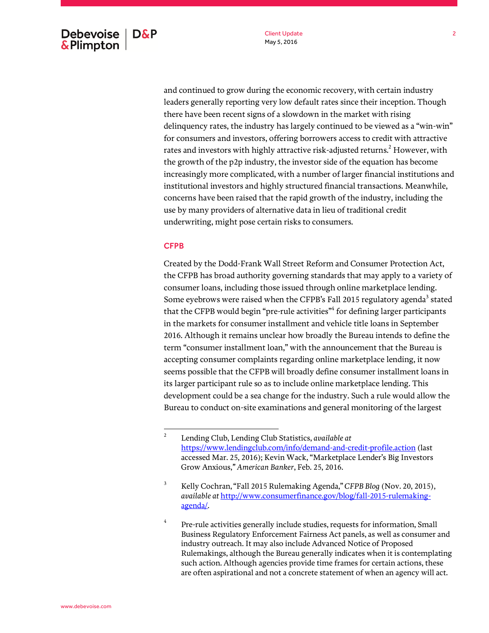and continued to grow during the economic recovery, with certain industry leaders generally reporting very low default rates since their inception. Though there have been recent signs of a slowdown in the market with rising delinquency rates, the industry has largely continued to be viewed as a "win-win" for consumers and investors, offering borrowers access to credit with attractive rates and investors with highly attractive risk-adjusted returns. $^2$  However, with the growth of the p2p industry, the investor side of the equation has become increasingly more complicated, with a number of larger financial institutions and institutional investors and highly structured financial transactions. Meanwhile, concerns have been raised that the rapid growth of the industry, including the use by many providers of alternative data in lieu of traditional credit underwriting, might pose certain risks to consumers.

#### **CFPB**

Created by the Dodd-Frank Wall Street Reform and Consumer Protection Act, the CFPB has broad authority governing standards that may apply to a variety of consumer loans, including those issued through online marketplace lending. Some eyebrows were raised when the CFPB's Fall 2015 regulatory agenda $^3$  stated that the CFPB would begin "pre-rule activities"<sup>4</sup> for defining larger participants in the markets for consumer installment and vehicle title loans in September 2016. Although it remains unclear how broadly the Bureau intends to define the term "consumer installment loan," with the announcement that the Bureau is accepting consumer complaints regarding online marketplace lending, it now seems possible that the CFPB will broadly define consumer installment loans in its larger participant rule so as to include online marketplace lending. This development could be a sea change for the industry. Such a rule would allow the Bureau to conduct on-site examinations and general monitoring of the largest

 $\overline{2}$  Lending Club, Lending Club Statistics, *available at* https://www.lendingclub.com/info/demand-and-credit-profile.action (last accessed Mar. 25, 2016); Kevin Wack, "Marketplace Lender's Big Investors Grow Anxious,*" American Banker*, Feb. 25, 2016.

<sup>3</sup> Kelly Cochran,"Fall 2015 Rulemaking Agenda," *CFPB Blog* (Nov. 20, 2015), *available at* http://www.consumerfinance.gov/blog/fall-2015-rulemakingagenda/.

<sup>4</sup> Pre-rule activities generally include studies, requests for information, Small Business Regulatory Enforcement Fairness Act panels, as well as consumer and industry outreach. It may also include Advanced Notice of Proposed Rulemakings, although the Bureau generally indicates when it is contemplating such action. Although agencies provide time frames for certain actions, these are often aspirational and not a concrete statement of when an agency will act.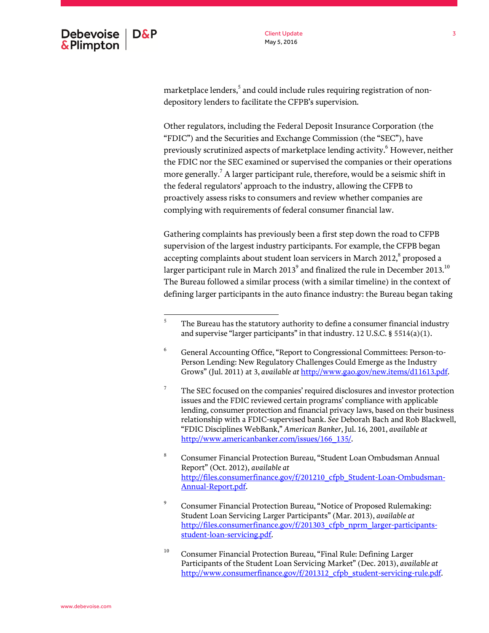marketplace lenders, $^5$  and could include rules requiring registration of nondepository lenders to facilitate the CFPB's supervision.

Other regulators, including the Federal Deposit Insurance Corporation (the "FDIC") and the Securities and Exchange Commission (the "SEC"), have previously scrutinized aspects of marketplace lending activity.<sup>6</sup> However, neither the FDIC nor the SEC examined or supervised the companies or their operations more generally. $^7$  A larger participant rule, therefore, would be a seismic shift in the federal regulators' approach to the industry, allowing the CFPB to proactively assess risks to consumers and review whether companies are complying with requirements of federal consumer financial law.

Gathering complaints has previously been a first step down the road to CFPB supervision of the largest industry participants. For example, the CFPB began accepting complaints about student loan servicers in March 2012, $^8$  proposed a larger participant rule in March 2013 $^{\rm 9}$  and finalized the rule in December 2013. $^{10}$ The Bureau followed a similar process (with a similar timeline) in the context of defining larger participants in the auto finance industry: the Bureau began taking

 5 The Bureau has the statutory authority to define a consumer financial industry and supervise "larger participants" in that industry. 12 U.S.C. § 5514(a)(1).

<sup>6</sup> General Accounting Office, "Report to Congressional Committees: Person-to-Person Lending: New Regulatory Challenges Could Emerge as the Industry Grows" (Jul. 2011) at 3, *available at* http://www.gao.gov/new.items/d11613.pdf.

<sup>7</sup> The SEC focused on the companies' required disclosures and investor protection issues and the FDIC reviewed certain programs' compliance with applicable lending, consumer protection and financial privacy laws, based on their business relationship with a FDIC-supervised bank. *See* Deborah Bach and Rob Blackwell, "FDIC Disciplines WebBank," *American Banker*, Jul. 16, 2001, *available at*  http://www.americanbanker.com/issues/166\_135/.

<sup>8</sup> Consumer Financial Protection Bureau, "Student Loan Ombudsman Annual Report" (Oct. 2012), *available at* http://files.consumerfinance.gov/f/201210\_cfpb\_Student-Loan-Ombudsman-Annual-Report.pdf.

<sup>9</sup> Consumer Financial Protection Bureau, "Notice of Proposed Rulemaking: Student Loan Servicing Larger Participants" (Mar. 2013), *available at*  http://files.consumerfinance.gov/f/201303\_cfpb\_nprm\_larger-participantsstudent-loan-servicing.pdf.

<sup>&</sup>lt;sup>10</sup> Consumer Financial Protection Bureau, "Final Rule: Defining Larger Participants of the Student Loan Servicing Market" (Dec. 2013), *available at* http://www.consumerfinance.gov/f/201312\_cfpb\_student-servicing-rule.pdf.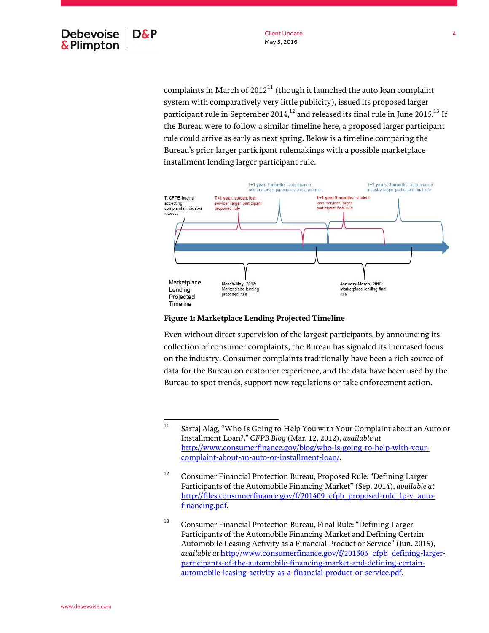complaints in March of  $2012<sup>11</sup>$  (though it launched the auto loan complaint system with comparatively very little publicity), issued its proposed larger participant rule in September 2014, $^{12}$  and released its final rule in June 2015.<sup>13</sup> If the Bureau were to follow a similar timeline here, a proposed larger participant rule could arrive as early as next spring. Below is a timeline comparing the Bureau's prior larger participant rulemakings with a possible marketplace installment lending larger participant rule.



#### **Figure 1: Marketplace Lending Projected Timeline**

Even without direct supervision of the largest participants, by announcing its collection of consumer complaints, the Bureau has signaled its increased focus on the industry. Consumer complaints traditionally have been a rich source of data for the Bureau on customer experience, and the data have been used by the Bureau to spot trends, support new regulations or take enforcement action.

 $11$ Sartaj Alag, "Who Is Going to Help You with Your Complaint about an Auto or Installment Loan?," *CFPB Blog* (Mar. 12, 2012), *available at* http://www.consumerfinance.gov/blog/who-is-going-to-help-with-yourcomplaint-about-an-auto-or-installment-loan/.

<sup>&</sup>lt;sup>12</sup> Consumer Financial Protection Bureau, Proposed Rule: "Defining Larger Participants of the Automobile Financing Market" (Sep. 2014), *available at* http://files.consumerfinance.gov/f/201409\_cfpb\_proposed-rule\_lp-v\_autofinancing.pdf.

<sup>&</sup>lt;sup>13</sup> Consumer Financial Protection Bureau, Final Rule: "Defining Larger Participants of the Automobile Financing Market and Defining Certain Automobile Leasing Activity as a Financial Product or Service" (Jun. 2015), *available at* http://www.consumerfinance.gov/f/201506\_cfpb\_defining-largerparticipants-of-the-automobile-financing-market-and-defining-certainautomobile-leasing-activity-as-a-financial-product-or-service.pdf.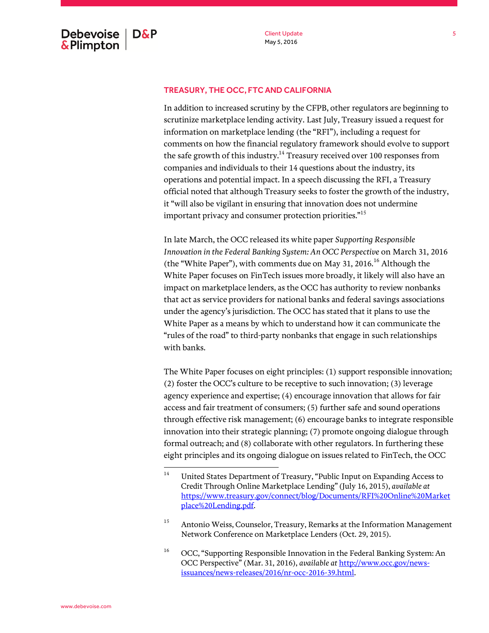## TREASURY, THE OCC, FTC AND CALIFORNIA

In addition to increased scrutiny by the CFPB, other regulators are beginning to scrutinize marketplace lending activity. Last July, Treasury issued a request for information on marketplace lending (the "RFI"), including a request for comments on how the financial regulatory framework should evolve to support the safe growth of this industry.<sup>14</sup> Treasury received over 100 responses from companies and individuals to their 14 questions about the industry, its operations and potential impact. In a speech discussing the RFI, a Treasury official noted that although Treasury seeks to foster the growth of the industry, it "will also be vigilant in ensuring that innovation does not undermine important privacy and consumer protection priorities."<sup>15</sup>

In late March, the OCC released its white paper *Supporting Responsible Innovation in the Federal Banking System: An OCC Perspective* on March 31, 2016 (the "White Paper"), with comments due on May 31, 2016.<sup>16</sup> Although the White Paper focuses on FinTech issues more broadly, it likely will also have an impact on marketplace lenders, as the OCC has authority to review nonbanks that act as service providers for national banks and federal savings associations under the agency's jurisdiction. The OCC has stated that it plans to use the White Paper as a means by which to understand how it can communicate the "rules of the road" to third-party nonbanks that engage in such relationships with banks.

The White Paper focuses on eight principles: (1) support responsible innovation; (2) foster the OCC's culture to be receptive to such innovation; (3) leverage agency experience and expertise; (4) encourage innovation that allows for fair access and fair treatment of consumers; (5) further safe and sound operations through effective risk management; (6) encourage banks to integrate responsible innovation into their strategic planning; (7) promote ongoing dialogue through formal outreach; and (8) collaborate with other regulators. In furthering these eight principles and its ongoing dialogue on issues related to FinTech, the OCC

<sup>14</sup> <sup>14</sup> United States Department of Treasury, "Public Input on Expanding Access to Credit Through Online Marketplace Lending"(July 16, 2015), *available at*  https://www.treasury.gov/connect/blog/Documents/RFI%20Online%20Market place%20Lending.pdf.

<sup>&</sup>lt;sup>15</sup> Antonio Weiss, Counselor, Treasury, Remarks at the Information Management Network Conference on Marketplace Lenders (Oct. 29, 2015).

<sup>&</sup>lt;sup>16</sup> OCC, "Supporting Responsible Innovation in the Federal Banking System: An OCC Perspective" (Mar. 31, 2016), *available at* http://www.occ.gov/newsissuances/news-releases/2016/nr-occ-2016-39.html.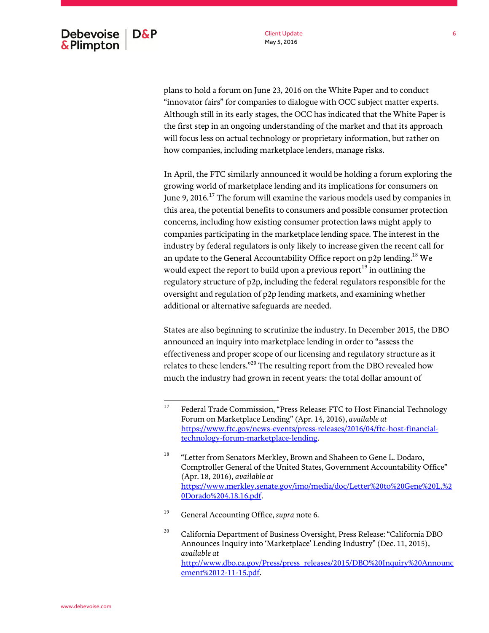plans to hold a forum on June 23, 2016 on the White Paper and to conduct "innovator fairs" for companies to dialogue with OCC subject matter experts. Although still in its early stages, the OCC has indicated that the White Paper is the first step in an ongoing understanding of the market and that its approach will focus less on actual technology or proprietary information, but rather on how companies, including marketplace lenders, manage risks.

In April, the FTC similarly announced it would be holding a forum exploring the growing world of marketplace lending and its implications for consumers on June 9,  $2016$ <sup>17</sup> The forum will examine the various models used by companies in this area, the potential benefits to consumers and possible consumer protection concerns, including how existing consumer protection laws might apply to companies participating in the marketplace lending space. The interest in the industry by federal regulators is only likely to increase given the recent call for an update to the General Accountability Office report on p2p lending.<sup>18</sup> We would expect the report to build upon a previous report<sup>19</sup> in outlining the regulatory structure of p2p, including the federal regulators responsible for the oversight and regulation of p2p lending markets, and examining whether additional or alternative safeguards are needed.

States are also beginning to scrutinize the industry. In December 2015, the DBO announced an inquiry into marketplace lending in order to "assess the effectiveness and proper scope of our licensing and regulatory structure as it relates to these lenders."<sup>20</sup> The resulting report from the DBO revealed how much the industry had grown in recent years: the total dollar amount of

<sup>19</sup> General Accounting Office, *supra* note 6.

<sup>17</sup> <sup>17</sup> Federal Trade Commission, "Press Release: FTC to Host Financial Technology Forum on Marketplace Lending" (Apr. 14, 2016), *available at* https://www.ftc.gov/news-events/press-releases/2016/04/ftc-host-financialtechnology-forum-marketplace-lending.

<sup>&</sup>lt;sup>18</sup> "Letter from Senators Merkley, Brown and Shaheen to Gene L. Dodaro, Comptroller General of the United States, Government Accountability Office" (Apr. 18, 2016), *available at*  https://www.merkley.senate.gov/imo/media/doc/Letter%20to%20Gene%20L.%2 0Dorado%204.18.16.pdf.

<sup>&</sup>lt;sup>20</sup> California Department of Business Oversight, Press Release: "California DBO Announces Inquiry into 'Marketplace' Lending Industry" (Dec. 11, 2015), *available at*  http://www.dbo.ca.gov/Press/press\_releases/2015/DBO%20Inquiry%20Announc ement%2012-11-15.pdf.